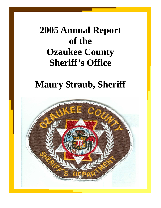# **2005 Annual Report 2005 Annual Report of the Ozaukee County Sheriff's Office Sheriff's Office**

## **Maury Straub, Sheriff Maury Straub, Sheriff**

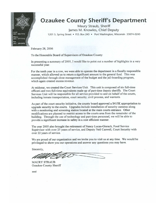

## **Ozaukee County Sheriff's Department**

Maury Straub, Sheriff James M. Knowles, Chief Deputy 1201 S. Spring Street • P.O. Box 245 • Port Washington, Wisconsin 53074-0245

February 28, 2006

To the Honorable Board of Supervisors of Ozaukee County:

In presenting a summary of 2005, I would like to point out a number of highlights in a very successful year.

For the tenth year in a row, we were able to operate the department in a fiscally responsible manner, which allowed us to return a significant amount to the general fund. This was accomplished through close management of the budget and the jail-boarding program, which again created excess revenue.

At midyear, we created the Court Services Unit. This unit is composed of six full-time officers and two full-time equivalents made up of part-time deputy sheriffs. The Court Services Unit will be responsible for all service provided to and on behalf of the courts, including inmate transportation, court security, civil process, and warrants.

As part of the court security initiative, the county board approved a \$415K appropriation to upgrade security to the courts. Upgrades include installation of security cameras along with a monitoring and screening station located at the main courts entrance. Other modifications are planned to restrict access to the courts area from the remainder of the building. Through the use of technology and part-time personnel, we will be able to provide a significant increase in safety in a cost efficient manner.

The year 2005 also brought the retirement of Nancy Lucas-Gierach, Food Service Supervisor with over 25 years of service, and Deputy Neil Caswell, Court Security with over 22 years of service.

We are proud of our organization and we invite you to visit us at any time. We would be privileged to show you our operations and answer any questions you may have.

Sincerely,

**MAURY STRAUB** Ozaukee County Sheriff

mml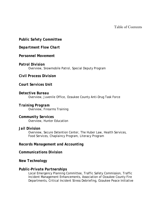Table of Contents

## *Public Safety Committee*

*Department Flow Chart* 

## *Personnel Movement*

## *Patrol Division*

Overview, Snowmobile Patrol, Special Deputy Program

## *Civil Process Division*

## *Court Services Unit*

*Detective Bureau*  Overview, Juvenile Office, Ozaukee County Anti-Drug Task Force

## *Training Program*

Overview, Firearms Training

## *Community Services*

Overview, Hunter Education

## *Jail Division*

Overview, Secure Detention Center, The Huber Law, Health Services, Food Services, Chaplaincy Program, Literacy Program

## *Records Management and Accounting*

## *Communications Division*

## *New Technology*

## *Public-Private Partnerships*

Local Emergency Planning Committee, Traffic Safety Commission, Traffic Incident Management Enhancements, Association of Ozaukee County Fire Departments, Critical Incident Stress Debriefing, Ozaukee Peace Initiative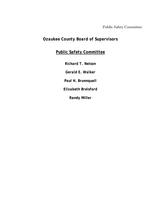Public Safety Committee

## *Ozaukee County Board of Supervisors*

## *Public Safety Committee*

*Richard T. Nelson Gerald E. Walker Paul H. Brunnquell Elizabeth Brelsford Randy Miller*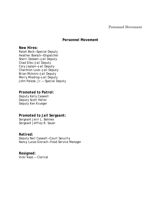#### Personnel Movement

## *Personnel Movement*

#### *New Hires:*

*Ralph Beck—Special Deputy Heather Boesch—Dispatcher Sherri Dodsen—Jail Deputy Chad Eibs—Jail Deputy Cory Jepson—Jail Deputy Charmion Love—Jail Deputy Brian McInnis—Jail Deputy Merry Mieding—Jail Deputy John Palese, Jr.— Special Deputy* 

*Promoted to Patrol: Deputy Kelly Caswell Deputy Scott Heller Deputy Ken Krueger* 

## *Promoted to Jail Sergeant:*

*Sergeant Jerri L. Behnke Sergeant Jeffrey R. Sauer* 

## *Retired:*

*Deputy Neil Caswell—Court Security Nancy Lucas-Gierach—Food Service Manager* 

*Resigned: Vicki Kaas — Clerical*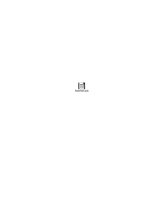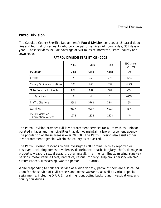## *Patrol Division*

The Ozaukee County Sheriff's Department's **Patrol Division** consists of 18 patrol deputies and four patrol sergeants who provide patrol services 24 hours a day, 365 days a year. These services include coverage of 501 miles of interstate, state, county and town roads.

|                                               | 2005 | 2004 | 2003           | % Change<br>$'04 - '05$ |
|-----------------------------------------------|------|------|----------------|-------------------------|
| <b>Incidents</b>                              | 5384 | 5484 | 5448           | $-2%$                   |
| Arrests                                       | 778  | 765  | 770            | $+2%$                   |
| County Ordinance citations                    | 300  | 266  | 337            | $+12%$                  |
| Motor Vehicle Accidents                       | 864  | 887  | 881            | $-3%$                   |
| <b>Fatalities</b>                             | 6    | 4    | $\overline{2}$ | $+50%$                  |
| <b>Traffic Citations</b>                      | 3581 | 3762 | 3344           | $-5%$                   |
| Warnings                                      | 6617 | 6007 | 6003           | $+9%$                   |
| 15 Day Violation<br><b>Correction Notices</b> | 1274 | 1324 | 1528           | -4%                     |

*PATROL DIVISION STATISTICS - 2005* 

The Patrol Division provides full law enforcement services for all townships, unincorporated villages and municipalities that do not maintain a law enforcement agency. The population of these areas is over 20,000. The Patrol Division also assists other law enforcement agencies within the county as requested.

The Patrol Division responds to and investigates all criminal activity reported or observed, including domestic violence, disturbance, death, burglary, theft, damage to property, weapon, sexual assault, other assault, fire, mental illness, missing/runaway persons, motor vehicle theft, narcotics, rescue, robbery, suspicious person/vehicle/ circumstances, trespassing, wanted person, 911, alarms.

While responding to calls for service of a wide variety, patrol officers are also called upon for the service of civil process and arrest warrants, as well as various special assignments, including D.A.R.E., training, conducting background investigations, and county fair duties.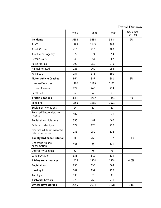## Patrol Division

|                                                | 2005 | 2004           | 2003           | % Change<br>$'04 - '05$ |
|------------------------------------------------|------|----------------|----------------|-------------------------|
| <b>Incidents</b>                               | 5384 | 5484           | 5448           | $-2%$                   |
| Traffic                                        | 1184 | 1143           | 998            |                         |
| <b>Assist Citizen</b>                          | 416  | 410            | 488            |                         |
| Assist other Agency                            | 379  | 374            | 354            |                         |
| <b>Rescue Calls</b>                            | 340  | 354            | 307            |                         |
| <b>False Alarms</b>                            | 199  | 250            | 275            |                         |
| <b>Animal Related</b>                          | 228  | 260            | 255            |                         |
| False 911                                      | 157  | 173            | 190            |                         |
| <b>Motor Vehicle Crashes</b>                   | 864  | 887            | 881            | $-3%$                   |
| <b>Involved Vehicles</b>                       | 1202 | 1189           | 1172           |                         |
| <b>Injured Persons</b>                         | 229  | 246            | 234            |                         |
| <b>Fatalities</b>                              | 6    | $\overline{4}$ | $\overline{2}$ |                         |
| <b>Traffic Citations</b>                       | 3581 | 3762           | 3344           | $-5%$                   |
| Speeding                                       | 1350 | 1285           | 1571           |                         |
| <b>Equipment violations</b>                    | 24   | 30             | 27             |                         |
| Revoked/Suspended/no<br>license                | 507  | 518            | 521            |                         |
| Registration violations                        | 356  | 487            | 460            |                         |
| Failure to stop/yield                          | 179  | 178            | 220            |                         |
| Operate while intoxicated/<br>related offenses | 236  | 250            | 312            |                         |
| <b>County Ordinance Citation</b>               | 300  | 266            | 337            | $+11%$                  |
| Underage Alcohol<br>consumption                | 132  | 83             | 141            |                         |
| <b>Disorderly Conduct</b>                      | 62   | 75             | 71             |                         |
| Lane Deviation                                 | 333  | 319            | 339            |                         |
| 15-Day repair notices                          | 1476 | 1324           | 1528           | $+10%$                  |
| Registration                                   | 653  | 656            | 669            |                         |
| Headlight                                      | 202  | 199            | 255            |                         |
| <b>Tail Light</b>                              | 133  | 85             | 98             |                         |
| <b>Custodial Arrests</b>                       | 778  | 765            | 770            |                         |
| <b>Officer Days Worked</b>                     | 2255 | 2594           | 3178           | $-13%$                  |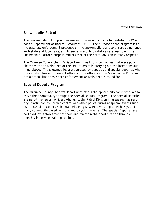## *Snowmobile Patrol*

The Snowmobile Patrol program was initiated—and is partly funded—by the Wisconsin Department of Natural Resources (DNR). The purpose of the program is to increase law enforcement presence on the snowmobile trails to ensure compliance with state and local laws, and to serve in a public safety awareness role. The Snowmobile Patrol's purpose mirrors that of the patrol division in many respects.

The Ozaukee County Sheriff's Department has two snowmobiles that were purchased with the assistance of the DNR to assist in carrying out the intentions outlined above. The snowmobiles are operated by deputies and special deputies who are certified law enforcement officers. The officers in the Snowmobile Program are alert to situations where enforcement or assistance is called for.

## *Special Deputy Program*

The Ozaukee County Sheriff's Department offers the opportunity for individuals to serve their community through the Special Deputy Program. The Special Deputies are part-time, sworn officers who assist the Patrol Division in areas such as security, traffic control, crowd control and other police duties at special events such as the Ozaukee County Fair, Waubeka Flag Day, Port Washington Fish Day, and many community based fun-runs and bicycling events. The Special Deputies are certified law enforcement officers and maintain their certification through monthly in-service training sessions.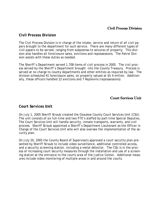## Civil Process Division

## *Civil Process Division*

The Civil Process Division is in charge of the intake, service and return of all civil papers brought to the department for such service. There are many different types of civil papers to be served, ranging from subpoenas to seizures of property. This division also handles all foreclosure sales, evictions and repossessions. The Patrol Division assists with these duties as needed.

The Sheriff's Department served 1,708 items of civil process in 2005. The civil process served by the Sheriff's Department brought into the County Treasury. Process is served at no charge to county departments and other entities as required by law. The division scheduled 41 foreclosure sales, on property valued at \$5.4 million. Additionally, these officers handled 22 evictions and 7 Replevins (repossessions).

## Court Services Unit

## *Court Services Unit*

On July 1, 2005 Sheriff Straub created the Ozaukee County Court Services Unit (CSU). The unit consists of six full-time and two FTE's staffed by part-time Special Deputies. The Court Services Unit will handle security, inmate transports, warrants, and civil process. Sheriff Straub appointed a Sheriff's Department Lieutenant as the Officer in Charge of the Court Services Unit who will also oversee the implementation of the security plan.

On July 20, 2005 the County Board of Supervisors approved a court security plan presented by Sheriff Straub to include video surveillance, additional controlled access, and a security screening station, including a metal detector. The CSU is in the process of increasing court security measures through the installation and use of a screening station at the entrance to the courts area of the Justice Center. Additional measures include video monitoring of multiple areas in and around the courts.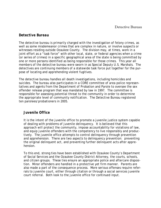## *Detective Bureau*

The detective bureau is primarily charged with the investigation of felony crimes, as well as some misdemeanor crimes that are complex in nature, or involve suspects or witnesses residing outside Ozaukee County. The division may, at times, work in a joint effort as a "task force" with other local, state, or federal agencies when a crime (or series of crimes) in a specific geographical area of the state is being committed by one or more persons identified as being responsible for those crimes. This year all members of the detective bureau were sworn in as Special Deputy U.S. Marshals. The detectives are continuing members of a statewide task force put together for the purpose of locating and apprehending violent fugitives.

The detective bureau handles all death investigations, including homicides and suicides. The bureau also participates in a CORE committee of area police representatives and agents from the Department of Probation and Parole to oversee the sex offender release program that was mandated by law in 1997. The committee is responsible for assessing potential threat to the community in order to determine the appropriate level of community notification. The Detective Bureau registered ten parolees/probationers in 2005.

## *Juvenile Office*

It is the intent of the juvenile office to promote a juvenile justice system capable of dealing with problems of juvenile delinquency. It is believed that this approach will protect the community, impose accountability for violations of law, and equip juvenile offenders with the competency to live responsibly and productively. The juvenile office attempts to control delinquency through prevention and apprehension. There are two aspects to delinquency prevention: preventing the original delinquent act, and preventing further delinquent acts after apprehension.

To this end, strong ties have been established with Ozaukee County's Department of Social Services and the Ozaukee County District Attorney, the courts, schools, and citizen groups. These ties ensure an appropriate police and aftercare disposition. Minor offenders are handled in a protective yet firm manner. Parents are also made a part of the consequence process. More serious offenses require referrals to juvenile court, either through citation or through a social services juvenile court referral. Both look to the juvenile office for continued input.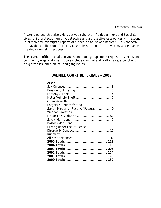A strong partnership also exists between the sheriff's department and Social Services' child protection unit. A detective and a protective caseworker will respond jointly to and investigate reports of suspected abuse and neglect. This cooperation avoids duplication of efforts, causes less trauma for the victim, and enhances the decision-making process.

The juvenile officer speaks to youth and adult groups upon request of schools and community organizations. Topics include criminal and traffic laws, alcohol and drug offenses, child abuse, and gang issues.

## **JUVENILE COURT REFERRALS – 2005**

| Forgery / Counterfeiting 0        |
|-----------------------------------|
| Stolen Property-Receive/Possess 0 |
|                                   |
| Liquor Law Violation  52          |
|                                   |
|                                   |
| Driving under the Influence3      |
|                                   |
|                                   |
|                                   |
|                                   |
| 113                               |
|                                   |
| 154                               |
|                                   |
|                                   |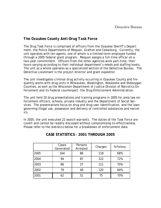## *The Ozaukee County Anti-Drug Task Force*

The Drug Task Force is comprised of officers from the Ozaukee Sheriff's Department, the Police Departments of Mequon, Grafton and Cedarburg. Currently, the unit operates with ten agents, one of whom is a limited-term employee funded through a 2005 federal grant program. Mequon assigns a full-time officer on a two-year commitment. Officers from the other agencies work part-time, their hours varying according to their individual department's needs and staffing levels. The unit as a whole operates as a specialized section of the Detective Bureau. The Detective Lieutenant is the project director and grant expeditor.

The unit investigates criminal drug activity occurring in Ozaukee County and frequently works with drug units in Milwaukee, Washington, Waukesha and Sheboygan Counties, as well as the Wisconsin Department of Justice-Division of Narcotics Enforcement and its Federal counterpart, the Drug Enforcement Administration.

The unit held 20 drug presentations and training programs in 2005 for area law enforcement officers, schools, private industry and the Department of Social Services. The presentations focus on drug and drug user identification, and the laws governing illegal use, possession and delivery of controlled substances and narcotics.

In 2005, the unit executed 22 search warrants. The duties of the Task Force are covert and cannot be readily discussed without compromising its effectiveness. Please refer to the statistics below for a breakdown of enforcement data.

|      | Cases<br>Generated | Persons<br>Arrested | Charges | % Felony |
|------|--------------------|---------------------|---------|----------|
| 2005 | 164                | 86                  | 118     | 68%      |
| 2004 | 94                 | 87                  | 122     | 72%      |
| 2003 | 86                 | 37                  | 111     | 70%      |
| 2002 | 79                 | 49                  | 120     | 64%      |
| 2001 | 62                 | 51                  | 75      | 70%      |

## **CASE STATISTICS - 2001 THROUGH 2005**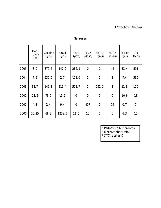## Detective Bureau

|      | Mari-<br>juana<br>(lbs) | Cocaine<br>(gms) | Crack<br>(gms) | Psi. <sup>1</sup><br>(gms) | <b>LSD</b><br>(dose) | Meth. <sup>2</sup><br>(gms) | MDMA <sup>3</sup><br>(tabs) | Heroin<br>(gms) | <b>Rx</b><br>Meds |
|------|-------------------------|------------------|----------------|----------------------------|----------------------|-----------------------------|-----------------------------|-----------------|-------------------|
| 2005 | 3.0                     | 379.5            | 147.2          | 282.9                      | $\overline{0}$       | $\overline{0}$              | 42                          | 33.4            | 591               |
| 2004 | 7.5                     | 535.5            | 2.7            | 178.0                      | $\overline{0}$       | $\overline{0}$              | 1                           | 7.4             | 535               |
| 2003 | 32.7                    | 149.1            | 216.4          | 521.7                      | $\mathbf 0$          | 292.2                       | 1                           | 11.8            | 120               |
| 2002 | 22.8                    | 78.5             | 13.1           | $\mathbf 0$                | $\overline{0}$       | $\mathbf 0$                 | $\mathbf 0$                 | 10.6            | 18                |
| 2001 | 4.8                     | 2.4              | 9.4            | $\overline{0}$             | 457                  | $\Omega$                    | 54                          | 0.7             | $\overline{7}$    |
| 2000 | 33.25                   | 68.8             | 1239.5         | 21.0                       | 10                   | $\mathbf 0$                 | $\mathbf 0$                 | 6.3             | 15                |

## **Seizures**

<sup>1</sup> Psilocybin Mushrooms

² Methamphetamine

<sup>3</sup> XTC (ecstasy)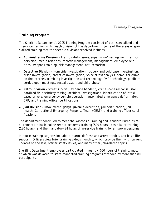## *Training Program*

The Sheriff's Department's 2005 Training Program consisted of both specialized and in-service training within each division of the department. Some of the areas of specialized training that the specific divisions received includes:

- ♦ **Administrative Division** Traffic safety issues, supervision/management, jail supervision, media relations, records management, management/employee relations, weapons training, risk management, anti-terrorism.
- ♦ **Detective Division** Homicide investigation, robbery and cold case investigation, arson investigation, narcotics investigation, voice stress analysis, computer crime on the Internet, gambling investigation and technology, DNA technology, public recorded open meetings, sexual assault and child abuse.
- ♦ **Patrol Division** Street survival, evidence handling, crime scene response, standardized field sobriety testing, accident investigations, identification of intoxicated drivers, emergency vehicle operation, automated emergency defibrillator, CPR, and training officer certifications.
- ♦ **Jail Division** Intoximeter, gangs, juvenile detention, jail certification, jail health, Correctional Emergency Response Team (CERT), and training officer certifications.

The department continued to meet the Wisconsin Training and Standard Bureau's requirements in basic police recruit academy training (520 hours), basic jailer training (120 hours), and the mandatory 24 hours of in-service training for all sworn personnel.

In-house training subjects included firearms defense and arrest tactics, and basic life support. Officers view brief training videos monthly, which provide them with current updates on the law, officer safety issues, and many other job-related topics.

Sheriff's Department employees participated in nearly 4,000 hours of training, most of which was devoted to state-mandated training programs attended by more than 80 participants.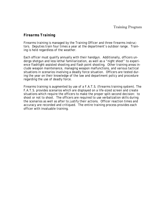## *Firearms Training*

Firearms training is managed by the Training Officer and three firearms instructors. Deputies train four times a year at the department's outdoor range. Training is held regardless of the weather.

Each officer must qualify annually with their handgun. Additionally, officers undergo shotgun and less lethal familiarization, as well as a "night shoot" to experience flashlight-assisted shooting and flash point shooting. Other training areas include weapon maintenance, managing weapon malfunctions, and various tactical situations in scenarios involving a deadly force situation. Officers are tested during the year on their knowledge of the law and department policy and procedure regarding the use of deadly force.

Firearms training is augmented by use of a F.A.T.S. (firearms training system). The F.A.T.S. provides scenarios which are displayed on a life-sized screen and create situations which require the officers to make the proper split-second decision: to shoot or not to shoot. The officers are required to use verbalization skills during the scenarios as well as after to justify their actions. Officer reaction times and accuracy are recorded and critiqued. The entire training process provides each officer with invaluable training.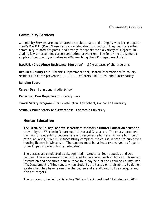## *Community Services*

Community Services are coordinated by a Lieutenant and a Deputy who is the department's D.A.R.E. (Drug Abuse Resistance Education) instructor. They facilitate other community related programs, and arrange for speakers on a variety of subjects, including law enforcement careers and crime prevention. The following are some examples of community activities in 2005 involving Sheriff's Department staff:

**D.A.R.E. (Drug Abuse Resistance Education)** - 150 graduates of the programs

**Ozaukee County Fair** - Sheriff's Department tent; shared information with county residents on crime prevention, D.A.R.E., Explorers, child files, and hunter safety

**Building Tours**

**Career Day** - John Long Middle School

**Cedarburg Fire Department** - Safety Days

**Travel Safety Program** - Port Washington High School, Concordia University

**Sexual Assault Safety and Awareness** - Concordia University

## *Hunter Education*

The Ozaukee County Sheriff's Department sponsors a **Hunter Education** course approved by the Wisconsin Department of Natural Resources. The course provides training for students to become safe and responsible hunters. Anyone born on or after January 1, 1973 must successfully complete the course in order to purchase a hunting license in Wisconsin. The student must be at least twelve years of age in order to participate in hunter education.

The classes are conducted by six certified instructors: four deputies and two civilian. The nine week course is offered twice a year, with 20 hours of classroom instruction and one three-hour outdoor field day held at the Ozaukee County Sheriff's Department's firing range, when students are tested on their ability to demonstrate what they have learned in the course and are allowed to fire shotguns and rifles at targets.

The program, directed by Detective William Steck, certified 41 students in 2005.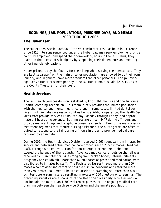## **BOOKINGS, JAIL POPULATIONS, PRISONER DAYS, AND MEALS 2000 THROUGH 2005**

## *The Huber Law*

The Huber Law, Section 303.08 of the Wisconsin Statutes, has been in existence since 1913. Persons sentenced under the Huber Law may seek employment, or be gainfully employed, and spend their non-working hours in the jail. Thus, they maintain their sense of self-dignity by supporting their dependents and meeting other financial obligations.

Huber prisoners pay the County for their keep while serving their sentences. They are kept separate from the main prisoner population, are allowed to do their own laundry, and in general have more freedom than other prisoners. The jail averaged 39.72 Huber prisoners per day in 2005. Huber inmates paid \$215,430.23 to the County Treasurer for their board.

## *Health Services*

The jail Health Services division is staffed by two full-time RNs and one full-time Health Screening Technician. This team jointly provides the inmate population with the medical and mental health care and in some cases, limited dental services. With inmate care responsibilities being a 24-hour operation, the Health Services staff provide services 12-hours a day, Monday through Friday, and approximately 4-hours on weekends. Both nurses are on-call 24/7 during off hours and provide medical triage and telephone consult as needed. Due to the many specific treatment regimens that require nursing assistance, the nursing staff are often required to respond to the jail during off hours in order to provide medical care required by an inmate.

During 2005, the Health Services Division received 2,666 requests from inmates for service and delivered actual medical care procedures to 2,273 inmates. Medical staff, through written instruction for non-emergent or non-treatable issues answered the balance of the requests. Advanced medical care, outside the jail was received by 73 inmates for issues ranging from broken bones, internal ailments, pregnancy and childbirth. More than 62,500 doses of prescribed medication were distributed to inmates by staff. The Registered Nurses triaged more than 500 inmates who provided indicators of possible suicidal concerns and referred more than 260 inmates to a mental health counselor or psychologist. More than 800 TB skin tests were administered resulting in excess of 150 chest X-ray screenings. The preceding statistics are a snapshot of the Health Services daily activities and do not include the more than 1,500 written responses for the ongoing medical care planning between the Health Service Division and the inmate population.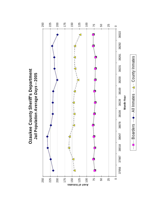

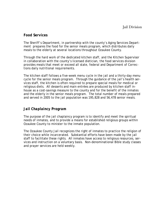## *Food Services*

The Sheriff's Department, in partnership with the county's Aging Services Department prepares the food for the senior meals program, which distributes daily meals to the elderly at several locations throughout Ozaukee County.

Through the hard work of the dedicated kitchen staff, and the Kitchen Supervisor in collaboration with the county's licensed dietician, the food services division provides meals that meet or exceed all state, federal and Department of Corrections daily nutritional requirements.

The kitchen staff follows a five-week menu cycle in the jail and a thirty-day menu cycle for the senior meals program. Through the guidance of the jail's health services staff, the kitchen is often required to prepare special meals for medical or religious diets. All desserts and main entrées are produced by kitchen staff inhouse as a cost-savings measure to the county and for the benefit of the inmates and the elderly in the senior meals program. The total number of meals prepared and served in 2005 to the jail population was 195,828 and 56,478 senior meals.

## *Jail Chaplaincy Program*

The purpose of the jail chaplaincy program is to identify and meet the spiritual needs of inmates, and to provide a means for established religious groups within Ozaukee County to minister to the inmate population.

The Ozaukee County Jail recognizes the right of inmates to practice the religion of their choice while incarcerated. Substantial efforts have been made by the jail staff to facilitate these rights. All inmates have access to religious resources, services and instruction on a voluntary basis. Non-denominational Bible study classes and prayer services are held weekly.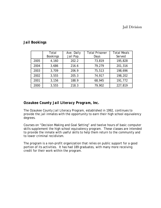|      | Total           | Ave. Daily | <b>Total Prisoner</b> | <b>Total Meals</b> |
|------|-----------------|------------|-----------------------|--------------------|
|      | <b>Bookings</b> | Jail Pop.  | Days                  | Served             |
| 2005 | 4,160           | 202.2      | 73,819                | 195,828            |
| 2004 | 3,686           | 216.6      | 79,279                | 201,316            |
| 2003 | 3,709           | 206.9      | 75,513                | 198,696            |
| 2002 | 3,555           | 205.3      | 74,917                | 198,202            |
| 2001 | 3,156           | 188.9      | 68,945                | 191,772            |
| 2000 | 3,555           | 218.3      | 79,902                | 227,819            |

## *Jail Bookings*

## *Ozaukee County Jail Literacy Program, Inc.*

The Ozaukee County Jail Literacy Program, established in 1992, continues to provide the jail inmates with the opportunity to earn their high school equivalency degrees.

Courses on "Decision Making and Goal Setting" and twelve hours of basic computer skills supplement the high school equivalency program. These classes are intended to provide the inmate with useful skills to help them return to the community and to lower criminal recidivism.

The program is a non-profit organization that relies on public support for a good portion of its activities. It has had 189 graduates, with many more receiving credit for their work within the program.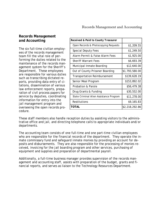## Records Management and Accounting

## *Records Management and Accounting*

The six full-time civilian employees of the records management team fill the vital role of performing the duties related to the maintenance of the records management system for the Sheriff's Department. These employees are responsible for various duties such as transcribing dictated reports, providing data entry of citations, dissemination of various law enforcement reports, preparation of civil process papers for service by deputies, coordinating information for entry into the jail management program and overseeing the open records procedure.

| \$1,209.55     |
|----------------|
| \$1,249.50     |
| \$1,925.00     |
| \$6,693.39     |
| \$12,640.00    |
| \$1,793,580.00 |
| \$139,628.19   |
| \$153,892.02   |
| \$56,479.38    |
| \$30,552.00    |
| \$11,278.00    |
| \$9,165.83     |
| \$2,218,292.86 |
|                |

These staff members also handle reception duties by assisting visitors to the administrative office and jail, and directing telephone calls to appropriate individuals and/or departments.

The accounting team consists of one full-time and one part-time civilian employees who are responsible for the financial records of the department. They operate the inmate commissary fund and safeguard inmate monies by providing an account for deposits and disbursements. They are also responsible for the processing of monies received, invoicing for the jail boarding program and other services, purchasing of equipment and supplies and preparation of departmental payroll.

Additionally, a full-time business manager provides supervision of the records management and accounting staff, assists with preparation of the budget, grants and financial reports, and serves as liaison to the Technology Resources Department.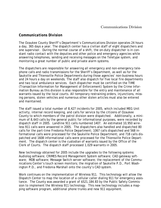## *Communications Division*

The Ozaukee County Sheriff's Department's Communications Division operates 24 hours a day, 365 days a year. The dispatch center has a civilian staff of eight dispatchers and one supervisor. During the normal course of a shift, the on-duty dispatcher is in constant radio contact with the deputies and other police and emergency agencies while answering telephones, sending and receiving messages on the Teletype system, and monitoring a great number of public and private alarm systems.

The dispatchers are responsible for answering all emergency and non-emergency telephone calls and radio transmissions for the Sheriff's Department, as well as for the Saukville and Thiensville Police Departments during those agencies' non-business hours and 24 hours a day on weekends. The staff also dispatch for five local fire departments and two local ambulance services. Each dispatcher must be certified on the TIME (Transaction Information for Management of Enforcement) System by the Crime Information Bureau as this division is also responsible for the entry and maintenance of all warrants issued by the local courts. All temporary restraining orders, injunctions, missing persons, stolen vehicles and numerous other stolen articles must also be entered and maintained.

The staff issued a total number of 8,427 incidents for 2005, which included MEG Unit activity, internal record keeping, and calls for service by the citizens of Ozaukee County to which members of the patrol division were dispatched. Additionally, a minimum of 8,643 calls by the general public for informational purposes, were recorded by dispatch staff in 2005. Landline 911 calls numbered 1407. An estimated 10,950 wireless 911 calls were answered in 2005. The dispatchers also handled and dispatched 80 calls for the part-time Fredonia Police Department; 1067 calls dispatched and 568 informational calls were processed for the Saukville Police Department; and 718 calls dispatched and 1608 informational calls were processed for the Thiensville Police Department. The dispatch center is the custodian of warrants issued by the Office of the Clerk of Courts. The dispatch staff processed 1,029 warrants in 2005.

New technology obtained for 2005 include the upgrades to the following systems: Audiolog software; CRIMES Record Management System software; CAD gateway software; MDB software; Message Switch server software; the replacement of the Communications Center's touch screen monitors; the migration of Saukville P.D., Port Washington P.D., and Fredonia Marshall onto the county's CAD system.

Work continues on the implementation of Wireless 911. This technology will allow the Dispatch Center to map the location of a cellular caller dialing 911 for emergency assistance. The County was awarded a grant of \$521,184.83 by the Public Safety Commission to implement the Wireless 911 technology. This new technology includes a mapping software program, additional phone trunks and new 911 equipment.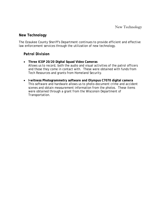## *New Technology*

The Ozaukee County Sheriff's Department continues to provide efficient and effective law enforcement services through the utilization of new technology.

## *Patrol Division*

- **Three ICOP 20/20 Digital Squad Video Cameras**  Allows us to record, both the audio and visual activities of the patrol officers and those they come in contact with. These were obtained with funds from Tech Resources and grants from Homeland Security.
- **I-witness Photogrammetry software and Olympus C7070 digital camera**  This software and hardware allows us to photo-document crime and accident scenes and obtain measurement information from the photos. These items were obtained through a grant from the Wisconsin Department of Transportation.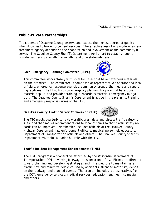## *Public-Private Partnerships*

The citizens of Ozaukee County deserve and expect the highest degree of quality when it comes to law enforcement services. The effectiveness of any modern law enforcement agency depends on the cooperation and involvement of the community it serves. The Ozaukee County Sheriff's Department works hard to establish publicprivate partnerships locally, regionally, and on a statewide level.

## *Local Emergency Planning Committee (LEPC)*



This committee works closely with local facilities that have hazardous materials on the premises. The committee is comprised of representatives of state and local officials, emergency response agencies, community groups, the media and reporting facilities. The LEPC focus on emergency planning for potential hazardous materials spills, and provides training in hazardous materials emergency mitigation. The Ozaukee County Sheriff's Department is active in the planning, training and emergency response duties of the LEPC.

## *Ozaukee County Traffic Safety Commission (TSC)*



The TSC meets quarterly to review traffic crash data and discuss traffic safety issues, and then makes recommendations to local officials so that traffic safety records can be improved. Membership includes officials of the Ozaukee County Highway Department, law enforcement officers, medical personnel, educators, Department of Transportation officials and others. The Ozaukee County Sheriff's Department maintains a leadership role with the TSC.

## *Traffic Incident Management Enhancements (TIME)*

The TIME program is a cooperative effort led by the Wisconsin Department of Transportation (DOT) involving freeway transportation safety. Efforts are directed toward planning and developing strategies and infrastructure to maintain safe traffic flow and minimize delays caused by accidents, stranded motorists, debris on the roadway, and planned events. The program includes representatives from the DOT, emergency services, medical services, education, engineering, media and others.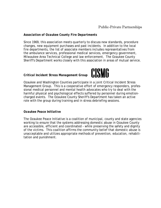## *Association of Ozaukee County Fire Departments*

Since 1969, this association meets quarterly to discuss new standards, procedure changes, new equipment purchases and past incidents. In addition to the local fire departments, the list of associate members includes representatives from the ambulance services, professional medical services, emergency government, Milwaukee Area Technical College and law enforcement. The Ozaukee County Sheriff's Department works closely with this association in areas of mutual service.

## *Critical Incident Stress Management Group*



Ozaukee and Washington Counties participate in a joint Critical Incident Stress Management Group. This is a cooperative effort of emergency responders, professional medical personnel and mental health advocates who try to deal with the harmful physical and psychological effects suffered by personnel during emotioncharged events. The Ozaukee County Sheriff's Department has taken an active role with the group during training and in stress debriefing sessions.

## *Ozaukee Peace Initiative*

The Ozaukee Peace Initiative is a coalition of municipal, county and state agencies working to ensure that the systems addressing domestic abuse in Ozaukee County are accessible, efficient and coordinated - while preserving the safety and dignity of the victims. This coalition affirms the community belief that domestic abuse is unacceptable and utilizes appropriate methods of prevention, education, rehabilitation and punishment.